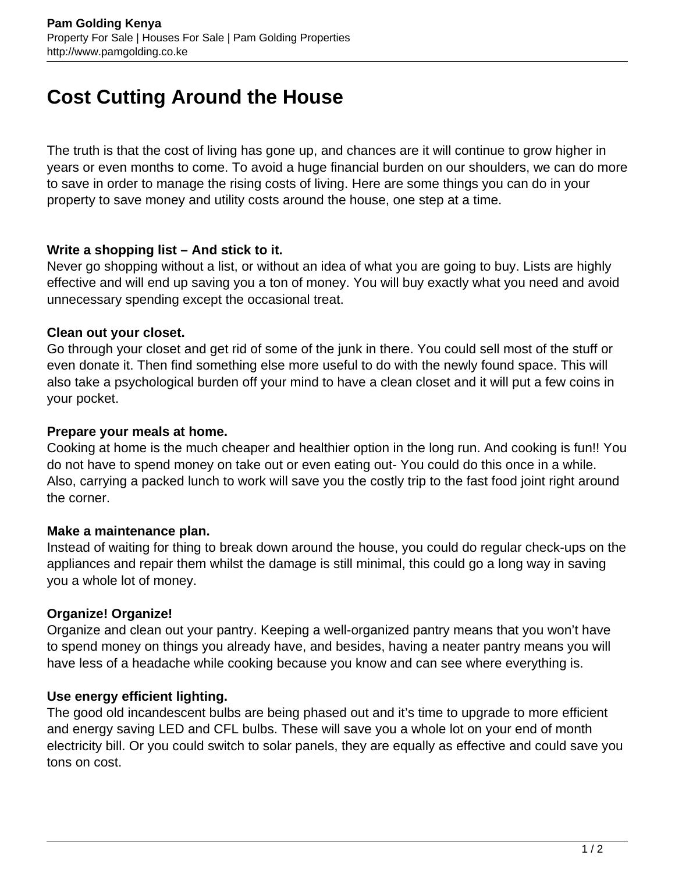# **Cost Cutting Around the House**

The truth is that the cost of living has gone up, and chances are it will continue to grow higher in years or even months to come. To avoid a huge financial burden on our shoulders, we can do more to save in order to manage the rising costs of living. Here are some things you can do in your property to save money and utility costs around the house, one step at a time.

## **Write a shopping list – And stick to it.**

Never go shopping without a list, or without an idea of what you are going to buy. Lists are highly effective and will end up saving you a ton of money. You will buy exactly what you need and avoid unnecessary spending except the occasional treat.

## **Clean out your closet.**

Go through your closet and get rid of some of the junk in there. You could sell most of the stuff or even donate it. Then find something else more useful to do with the newly found space. This will also take a psychological burden off your mind to have a clean closet and it will put a few coins in your pocket.

## **Prepare your meals at home.**

Cooking at home is the much cheaper and healthier option in the long run. And cooking is fun!! You do not have to spend money on take out or even eating out- You could do this once in a while. Also, carrying a packed lunch to work will save you the costly trip to the fast food joint right around the corner.

#### **Make a maintenance plan.**

Instead of waiting for thing to break down around the house, you could do regular check-ups on the appliances and repair them whilst the damage is still minimal, this could go a long way in saving you a whole lot of money.

# **Organize! Organize!**

Organize and clean out your pantry. Keeping a well-organized pantry means that you won't have to spend money on things you already have, and besides, having a neater pantry means you will have less of a headache while cooking because you know and can see where everything is.

#### **Use energy efficient lighting.**

The good old incandescent bulbs are being phased out and it's time to upgrade to more efficient and energy saving LED and CFL bulbs. These will save you a whole lot on your end of month electricity bill. Or you could switch to solar panels, they are equally as effective and could save you tons on cost.